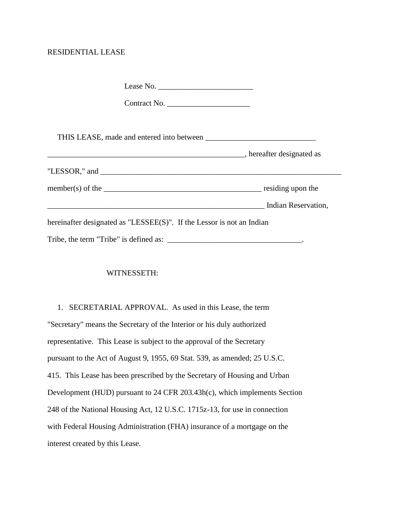## RESIDENTIAL LEASE

| Contract No.                                                                                                                                                                                                                                                                                                                                                                                                       |  |
|--------------------------------------------------------------------------------------------------------------------------------------------------------------------------------------------------------------------------------------------------------------------------------------------------------------------------------------------------------------------------------------------------------------------|--|
|                                                                                                                                                                                                                                                                                                                                                                                                                    |  |
|                                                                                                                                                                                                                                                                                                                                                                                                                    |  |
| "LESSOR," and $\overline{\phantom{a}}$                                                                                                                                                                                                                                                                                                                                                                             |  |
| member(s) of the $\frac{1}{\sqrt{1-\frac{1}{\sqrt{1-\frac{1}{\sqrt{1-\frac{1}{\sqrt{1-\frac{1}{\sqrt{1-\frac{1}{\sqrt{1-\frac{1}{\sqrt{1-\frac{1}{\sqrt{1-\frac{1}{\sqrt{1-\frac{1}{\sqrt{1-\frac{1}{\sqrt{1-\frac{1}{\sqrt{1-\frac{1}{\sqrt{1-\frac{1}{\sqrt{1-\frac{1}{\sqrt{1-\frac{1}{\sqrt{1-\frac{1}{\sqrt{1-\frac{1}{\sqrt{1-\frac{1}{\sqrt{1-\frac{1}{\sqrt{1-\frac{1}{\sqrt{1-\frac{1}{\sqrt{1-\frac{1}{$ |  |
| Indian Reservation,                                                                                                                                                                                                                                                                                                                                                                                                |  |
| hereinafter designated as "LESSEE(S)". If the Lessor is not an Indian                                                                                                                                                                                                                                                                                                                                              |  |
|                                                                                                                                                                                                                                                                                                                                                                                                                    |  |

## WITNESSETH:

 1. SECRETARIAL APPROVAL. As used in this Lease, the term "Secretary" means the Secretary of the Interior or his duly authorized representative. This Lease is subject to the approval of the Secretary pursuant to the Act of August 9, 1955, 69 Stat. 539, as amended; 25 U.S.C. 415. This Lease has been prescribed by the Secretary of Housing and Urban Development (HUD) pursuant to 24 CFR 203.43h(c), which implements Section 248 of the National Housing Act, 12 U.S.C. 1715z-13, for use in connection with Federal Housing Administration (FHA) insurance of a mortgage on the interest created by this Lease.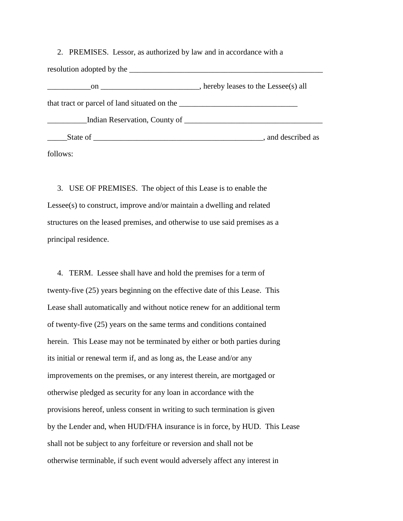2. PREMISES. Lessor, as authorized by law and in accordance with a resolution adopted by the two states of  $\mathbf{r}$  and  $\mathbf{r}$  and  $\mathbf{r}$  and  $\mathbf{r}$  and  $\mathbf{r}$  and  $\mathbf{r}$  and  $\mathbf{r}$  and  $\mathbf{r}$  and  $\mathbf{r}$  and  $\mathbf{r}$  are  $\mathbf{r}$  and  $\mathbf{r}$  and  $\mathbf{r}$  and  $\mathbf{r}$  and on \_\_\_\_\_\_\_\_\_\_\_\_\_\_\_\_\_\_\_\_\_\_\_, hereby leases to the Lessee(s) all that tract or parcel of land situated on the \_\_\_\_\_\_\_\_\_\_\_\_\_\_\_\_\_\_\_\_\_\_\_\_\_\_\_\_\_\_ \_\_\_\_\_\_\_\_\_\_Indian Reservation, County of \_\_\_\_\_\_\_\_\_\_\_\_\_\_\_\_\_\_\_\_\_\_\_\_\_\_\_\_\_\_\_\_\_\_\_ \_\_\_\_\_State of \_\_\_\_\_\_\_\_\_\_\_\_\_\_\_\_\_\_\_\_\_\_\_\_\_\_\_\_\_\_\_\_\_\_\_\_\_\_\_\_\_\_\_, and described as follows:

 3. USE OF PREMISES. The object of this Lease is to enable the Lessee(s) to construct, improve and/or maintain a dwelling and related structures on the leased premises, and otherwise to use said premises as a principal residence.

 4. TERM. Lessee shall have and hold the premises for a term of twenty-five (25) years beginning on the effective date of this Lease. This Lease shall automatically and without notice renew for an additional term of twenty-five (25) years on the same terms and conditions contained herein. This Lease may not be terminated by either or both parties during its initial or renewal term if, and as long as, the Lease and/or any improvements on the premises, or any interest therein, are mortgaged or otherwise pledged as security for any loan in accordance with the provisions hereof, unless consent in writing to such termination is given by the Lender and, when HUD/FHA insurance is in force, by HUD. This Lease shall not be subject to any forfeiture or reversion and shall not be otherwise terminable, if such event would adversely affect any interest in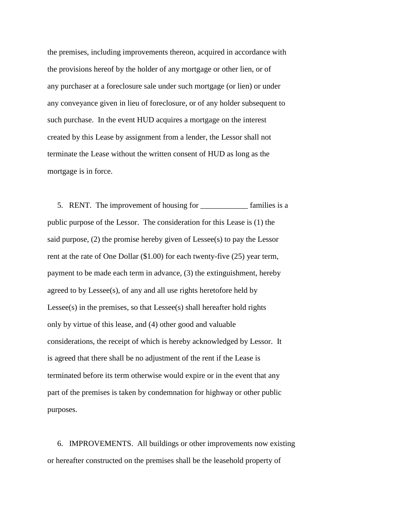the premises, including improvements thereon, acquired in accordance with the provisions hereof by the holder of any mortgage or other lien, or of any purchaser at a foreclosure sale under such mortgage (or lien) or under any conveyance given in lieu of foreclosure, or of any holder subsequent to such purchase. In the event HUD acquires a mortgage on the interest created by this Lease by assignment from a lender, the Lessor shall not terminate the Lease without the written consent of HUD as long as the mortgage is in force.

 5. RENT. The improvement of housing for \_\_\_\_\_\_\_\_\_\_\_\_ families is a public purpose of the Lessor. The consideration for this Lease is (1) the said purpose, (2) the promise hereby given of Lessee(s) to pay the Lessor rent at the rate of One Dollar (\$1.00) for each twenty-five (25) year term, payment to be made each term in advance, (3) the extinguishment, hereby agreed to by Lessee(s), of any and all use rights heretofore held by Lessee(s) in the premises, so that Lessee(s) shall hereafter hold rights only by virtue of this lease, and (4) other good and valuable considerations, the receipt of which is hereby acknowledged by Lessor. It is agreed that there shall be no adjustment of the rent if the Lease is terminated before its term otherwise would expire or in the event that any part of the premises is taken by condemnation for highway or other public purposes.

 6. IMPROVEMENTS. All buildings or other improvements now existing or hereafter constructed on the premises shall be the leasehold property of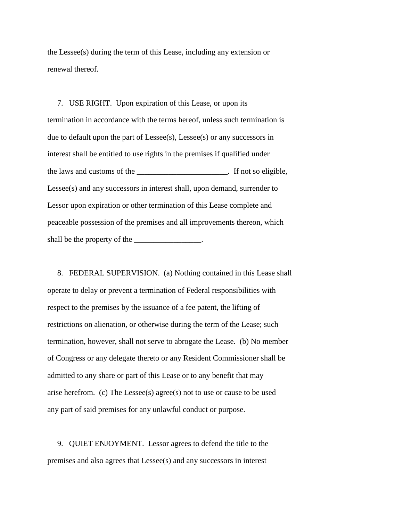the Lessee(s) during the term of this Lease, including any extension or renewal thereof.

 7. USE RIGHT. Upon expiration of this Lease, or upon its termination in accordance with the terms hereof, unless such termination is due to default upon the part of Lessee(s), Lessee(s) or any successors in interest shall be entitled to use rights in the premises if qualified under the laws and customs of the contract the state of the contract of the state of the state of the state of the state of the state of the state of the state of the state of the state of the state of the state of the state of Lessee(s) and any successors in interest shall, upon demand, surrender to Lessor upon expiration or other termination of this Lease complete and peaceable possession of the premises and all improvements thereon, which shall be the property of the  $\_\_\_\_\_\_\_\_\_\_\_\_\_\_\_\_\_\_$ .

 8. FEDERAL SUPERVISION. (a) Nothing contained in this Lease shall operate to delay or prevent a termination of Federal responsibilities with respect to the premises by the issuance of a fee patent, the lifting of restrictions on alienation, or otherwise during the term of the Lease; such termination, however, shall not serve to abrogate the Lease. (b) No member of Congress or any delegate thereto or any Resident Commissioner shall be admitted to any share or part of this Lease or to any benefit that may arise herefrom. (c) The Lessee(s) agree(s) not to use or cause to be used any part of said premises for any unlawful conduct or purpose.

 9. QUIET ENJOYMENT. Lessor agrees to defend the title to the premises and also agrees that Lessee(s) and any successors in interest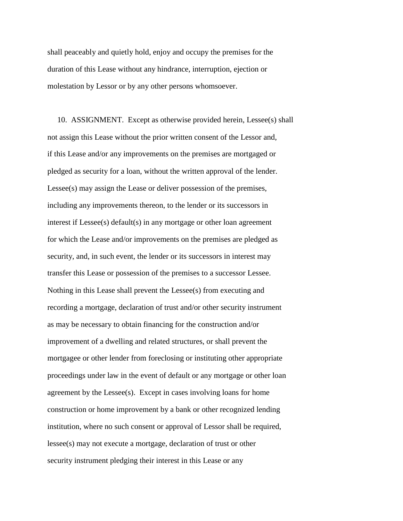shall peaceably and quietly hold, enjoy and occupy the premises for the duration of this Lease without any hindrance, interruption, ejection or molestation by Lessor or by any other persons whomsoever.

 10. ASSIGNMENT. Except as otherwise provided herein, Lessee(s) shall not assign this Lease without the prior written consent of the Lessor and, if this Lease and/or any improvements on the premises are mortgaged or pledged as security for a loan, without the written approval of the lender. Lessee(s) may assign the Lease or deliver possession of the premises, including any improvements thereon, to the lender or its successors in interest if Lessee(s) default(s) in any mortgage or other loan agreement for which the Lease and/or improvements on the premises are pledged as security, and, in such event, the lender or its successors in interest may transfer this Lease or possession of the premises to a successor Lessee. Nothing in this Lease shall prevent the Lessee(s) from executing and recording a mortgage, declaration of trust and/or other security instrument as may be necessary to obtain financing for the construction and/or improvement of a dwelling and related structures, or shall prevent the mortgagee or other lender from foreclosing or instituting other appropriate proceedings under law in the event of default or any mortgage or other loan agreement by the Lessee(s). Except in cases involving loans for home construction or home improvement by a bank or other recognized lending institution, where no such consent or approval of Lessor shall be required, lessee(s) may not execute a mortgage, declaration of trust or other security instrument pledging their interest in this Lease or any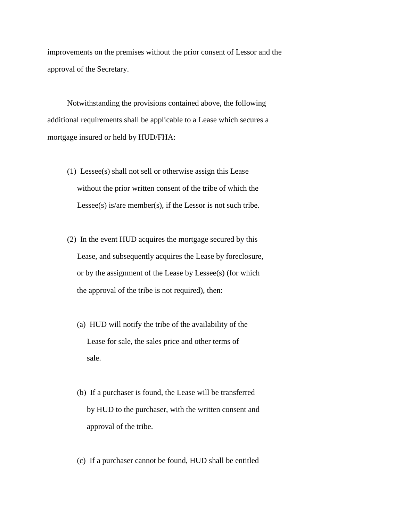improvements on the premises without the prior consent of Lessor and the approval of the Secretary.

 Notwithstanding the provisions contained above, the following additional requirements shall be applicable to a Lease which secures a mortgage insured or held by HUD/FHA:

- (1) Lessee(s) shall not sell or otherwise assign this Lease without the prior written consent of the tribe of which the Lessee(s) is/are member(s), if the Lessor is not such tribe.
- (2) In the event HUD acquires the mortgage secured by this Lease, and subsequently acquires the Lease by foreclosure, or by the assignment of the Lease by Lessee(s) (for which the approval of the tribe is not required), then:
	- (a) HUD will notify the tribe of the availability of the Lease for sale, the sales price and other terms of sale.
	- (b) If a purchaser is found, the Lease will be transferred by HUD to the purchaser, with the written consent and approval of the tribe.
	- (c) If a purchaser cannot be found, HUD shall be entitled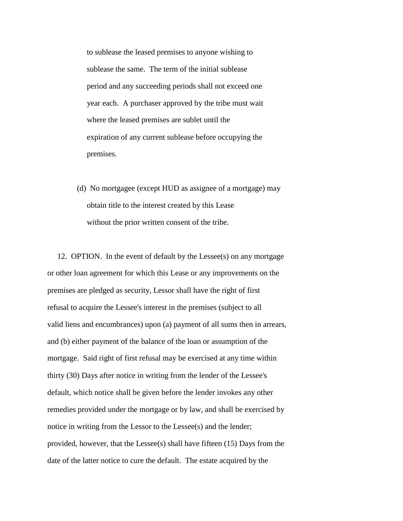to sublease the leased premises to anyone wishing to sublease the same. The term of the initial sublease period and any succeeding periods shall not exceed one year each. A purchaser approved by the tribe must wait where the leased premises are sublet until the expiration of any current sublease before occupying the premises.

 (d) No mortgagee (except HUD as assignee of a mortgage) may obtain title to the interest created by this Lease without the prior written consent of the tribe.

 12. OPTION. In the event of default by the Lessee(s) on any mortgage or other loan agreement for which this Lease or any improvements on the premises are pledged as security, Lessor shall have the right of first refusal to acquire the Lessee's interest in the premises (subject to all valid liens and encumbrances) upon (a) payment of all sums then in arrears, and (b) either payment of the balance of the loan or assumption of the mortgage. Said right of first refusal may be exercised at any time within thirty (30) Days after notice in writing from the lender of the Lessee's default, which notice shall be given before the lender invokes any other remedies provided under the mortgage or by law, and shall be exercised by notice in writing from the Lessor to the Lessee(s) and the lender; provided, however, that the Lessee(s) shall have fifteen (15) Days from the date of the latter notice to cure the default. The estate acquired by the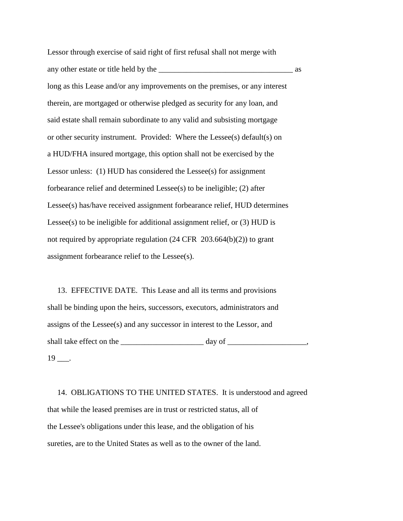Lessor through exercise of said right of first refusal shall not merge with any other estate or title held by the \_\_\_\_\_\_\_\_\_\_\_\_\_\_\_\_\_\_\_\_\_\_\_\_\_\_\_\_\_\_\_\_\_\_ as long as this Lease and/or any improvements on the premises, or any interest therein, are mortgaged or otherwise pledged as security for any loan, and said estate shall remain subordinate to any valid and subsisting mortgage or other security instrument. Provided: Where the Lessee(s) default(s) on a HUD/FHA insured mortgage, this option shall not be exercised by the Lessor unless: (1) HUD has considered the Lessee(s) for assignment forbearance relief and determined Lessee(s) to be ineligible; (2) after Lessee(s) has/have received assignment forbearance relief, HUD determines Lessee(s) to be ineligible for additional assignment relief, or (3) HUD is not required by appropriate regulation (24 CFR 203.664(b)(2)) to grant assignment forbearance relief to the Lessee(s).

 13. EFFECTIVE DATE. This Lease and all its terms and provisions shall be binding upon the heirs, successors, executors, administrators and assigns of the Lessee(s) and any successor in interest to the Lessor, and shall take effect on the \_\_\_\_\_\_\_\_\_\_\_\_\_\_\_\_\_\_\_\_\_ day of \_\_\_\_\_\_\_\_\_\_\_\_\_\_\_\_\_\_\_\_,  $19$  ...

 14. OBLIGATIONS TO THE UNITED STATES. It is understood and agreed that while the leased premises are in trust or restricted status, all of the Lessee's obligations under this lease, and the obligation of his sureties, are to the United States as well as to the owner of the land.